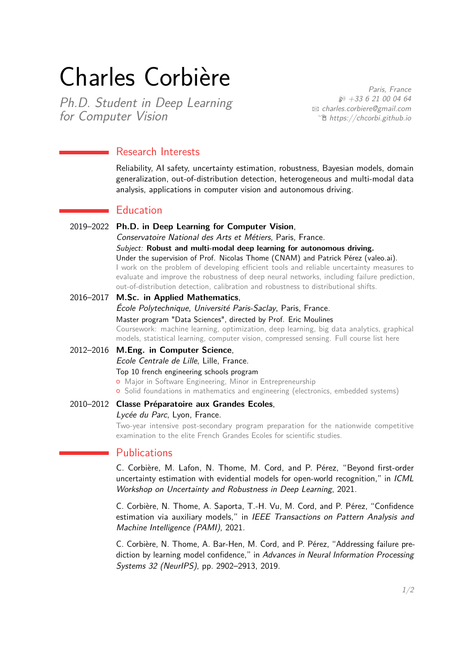# Charles Corbière

Ph.D. Student in Deep Learning for Computer Vision

Paris, France  $$33, 6, 21, 00, 04, 64$$ B [charles.corbiere@gmail.com](mailto:charles.corbiere@gmail.com) Í [https://chcorbi.github.io](http://https://chcorbi.github.io)

# Research Interests

Reliability, AI safety, uncertainty estimation, robustness, Bayesian models, domain generalization, out-of-distribution detection, heterogeneous and multi-modal data analysis, applications in computer vision and autonomous driving.

## **Education**

2019–2022 **Ph.D. in Deep Learning for Computer Vision**,

Conservatoire National des Arts et Métiers, Paris, France.

Subject: **Robust and multi-modal deep learning for autonomous driving.** Under the supervision of Prof. Nicolas Thome (CNAM) and Patrick Pérez (valeo.ai). I work on the problem of developing efficient tools and reliable uncertainty measures to evaluate and improve the robustness of deep neural networks, including failure prediction, out-of-distribution detection, calibration and robustness to distributional shifts.

## 2016–2017 **M.Sc. in Applied Mathematics**, École Polytechnique, Université Paris-Saclay, Paris, France. Master program "Data Sciences", directed by Prof. Eric Moulines Coursework: machine learning, optimization, deep learning, big data analytics, graphical models, statistical learning, computer vision, compressed sensing. Full course list [here](https://www.ip-paris.fr/education/masters/mention-mathematiques-appliquees-statistiques/master-year-2-data-science) 2012–2016 **M.Eng. in Computer Science**,

Ecole Centrale de Lille, Lille, France. Top 10 french engineering schools program **o** Major in Software Engineering, Minor in Entrepreneurship

{ Solid foundations in mathematics and engineering (electronics, embedded systems)

#### 2010–2012 **Classe Préparatoire aux Grandes Ecoles**,

#### Lycée du Parc, Lyon, France.

Two-year intensive post-secondary program preparation for the nationwide competitive examination to the elite French Grandes Ecoles for scientific studies.

# **Publications**

C. Corbière, M. Lafon, N. Thome, M. Cord, and P. Pérez, "Beyond first-order uncertainty estimation with evidential models for open-world recognition," in ICML Workshop on Uncertainty and Robustness in Deep Learning, 2021.

C. Corbière, N. Thome, A. Saporta, T.-H. Vu, M. Cord, and P. Pérez, "Confidence estimation via auxiliary models," in IEEE Transactions on Pattern Analysis and Machine Intelligence (PAMI), 2021.

C. Corbière, N. Thome, A. Bar-Hen, M. Cord, and P. Pérez, "Addressing failure prediction by learning model confidence," in Advances in Neural Information Processing Systems 32 (NeurIPS), pp. 2902–2913, 2019.